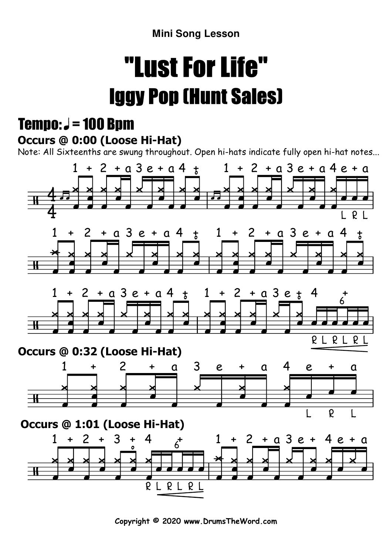**Mini Song Lesson**

# "Lust For Life"Iggy Pop (Hunt Sales)

### Tempo:  $J = 100$  Bpm

#### **Occurs @ 0:00 (Loose Hi-Hat)**

Note: All Sixteenths are swung throughout. Open hi-hats indicate fully open hi-hat notes...



**Copyright © 2020 www.DrumsTheWord.com**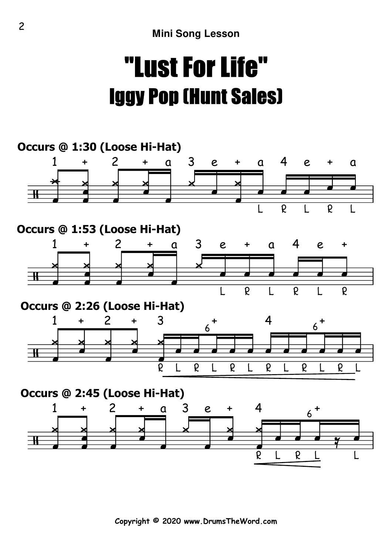## "Lust For Life"Iggy Pop (Hunt Sales)